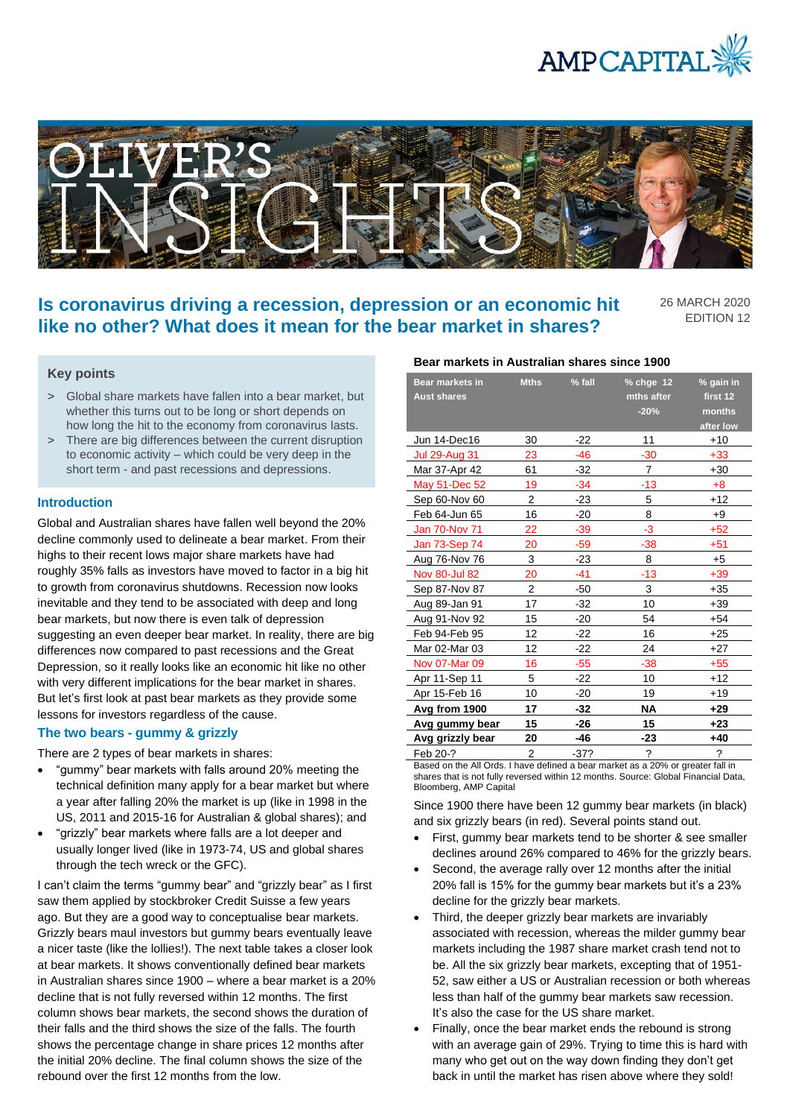



# **Is coronavirus driving a recession, depression or an economic hit like no other? What does it mean for the bear market in shares?**

26 MARCH 2020 EDITION 12

## **Key points**

- > Global share markets have fallen into a bear market, but whether this turns out to be long or short depends on how long the hit to the economy from coronavirus lasts.
- > There are big differences between the current disruption to economic activity – which could be very deep in the short term - and past recessions and depressions.

#### **Introduction**

Global and Australian shares have fallen well beyond the 20% decline commonly used to delineate a bear market. From their highs to their recent lows major share markets have had roughly 35% falls as investors have moved to factor in a big hit to growth from coronavirus shutdowns. Recession now looks inevitable and they tend to be associated with deep and long bear markets, but now there is even talk of depression suggesting an even deeper bear market. In reality, there are big differences now compared to past recessions and the Great Depression, so it really looks like an economic hit like no other with very different implications for the bear market in shares. But let's first look at past bear markets as they provide some lessons for investors regardless of the cause.

## **The two bears - gummy & grizzly**

There are 2 types of bear markets in shares:

- "gummy" bear markets with falls around 20% meeting the technical definition many apply for a bear market but where a year after falling 20% the market is up (like in 1998 in the US, 2011 and 2015-16 for Australian & global shares); and
- "grizzly" bear markets where falls are a lot deeper and usually longer lived (like in 1973-74, US and global shares through the tech wreck or the GFC).

I can't claim the terms "gummy bear" and "grizzly bear" as I first saw them applied by stockbroker Credit Suisse a few years ago. But they are a good way to conceptualise bear markets. Grizzly bears maul investors but gummy bears eventually leave a nicer taste (like the lollies!). The next table takes a closer look at bear markets. It shows conventionally defined bear markets in Australian shares since 1900 – where a bear market is a 20% decline that is not fully reversed within 12 months. The first column shows bear markets, the second shows the duration of their falls and the third shows the size of the falls. The fourth shows the percentage change in share prices 12 months after the initial 20% decline. The final column shows the size of the rebound over the first 12 months from the low.

## **Bear markets in Australian shares since 1900**

| <b>Bear markets in</b><br><b>Aust shares</b> | <b>Mths</b>    | $%$ fall | $%$ chge 12<br>mths after | % gain in<br>first 12    |
|----------------------------------------------|----------------|----------|---------------------------|--------------------------|
|                                              |                |          | $-20%$                    | months                   |
|                                              |                |          |                           | after low                |
| Jun 14-Dec16                                 | 30             | $-22$    | 11                        | $+10$                    |
| <b>Jul 29-Aug 31</b>                         | 23             | -46      | $-30$                     | $+33$                    |
| Mar 37-Apr 42                                | 61             | -32      | 7                         | $+30$                    |
| May 51-Dec 52                                | 19             | $-34$    | -13                       | $+8$                     |
| Sep 60-Nov 60                                | $\overline{2}$ | -23      | 5                         | $+12$                    |
| Feb 64-Jun 65                                | 16             | $-20$    | 8                         | $+9$                     |
| <b>Jan 70-Nov 71</b>                         | 22             | $-39$    | -3                        | $+52$                    |
| Jan 73-Sep 74                                | 20             | -59      | $-38$                     | $+51$                    |
| Aug 76-Nov 76                                | 3              | -23      | 8                         | $+5$                     |
| <b>Nov 80-Jul 82</b>                         | 20             | -41      | $-13$                     | $+39$                    |
| Sep 87-Nov 87                                | $\overline{2}$ | -50      | 3                         | $+35$                    |
| Aug 89-Jan 91                                | 17             | -32      | 10                        | $+39$                    |
| Aug 91-Nov 92                                | 15             | $-20$    | 54                        | $+54$                    |
| Feb 94-Feb 95                                | 12             | -22      | 16                        | $+25$                    |
| Mar 02-Mar 03                                | 12             | $-22$    | 24                        | $+27$                    |
| Nov 07-Mar 09                                | 16             | $-55$    | -38                       | $+55$                    |
| Apr 11-Sep 11                                | 5              | $-22$    | 10                        | $+12$                    |
| Apr 15-Feb 16                                | 10             | $-20$    | 19                        | $+19$                    |
| Avg from 1900                                | 17             | -32      | <b>NA</b>                 | $+29$                    |
| Avg gummy bear                               | 15             | -26      | 15                        | $+23$                    |
| Avg grizzly bear                             | 20             | -46      | -23                       | $+40$                    |
| Feb 20-?                                     | 2              | $-37?$   | $\overline{\phantom{a}}$  | $\overline{\phantom{a}}$ |

Based on the All Ords. I have defined a bear market as a 20% or greater fall in shares that is not fully reversed within 12 months. Source: Global Financial Data, Bloomberg, AMP Capital

Since 1900 there have been 12 gummy bear markets (in black) and six grizzly bears (in red). Several points stand out.

- First, gummy bear markets tend to be shorter & see smaller declines around 26% compared to 46% for the grizzly bears.
- Second, the average rally over 12 months after the initial 20% fall is 15% for the gummy bear markets but it's a 23% decline for the grizzly bear markets.
- Third, the deeper grizzly bear markets are invariably associated with recession, whereas the milder gummy bear markets including the 1987 share market crash tend not to be. All the six grizzly bear markets, excepting that of 1951- 52, saw either a US or Australian recession or both whereas less than half of the gummy bear markets saw recession. It's also the case for the US share market.
- Finally, once the bear market ends the rebound is strong with an average gain of 29%. Trying to time this is hard with many who get out on the way down finding they don't get back in until the market has risen above where they sold!